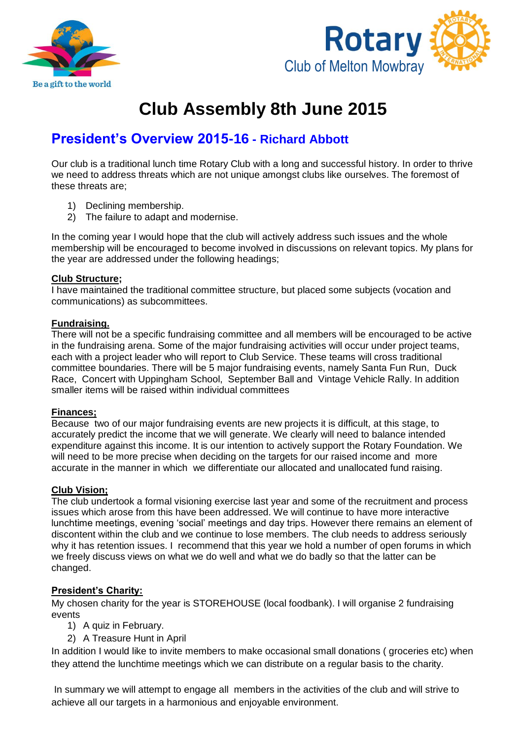



# **Club Assembly 8th June 2015**

# **President's Overview 2015-16 - Richard Abbott**

Our club is a traditional lunch time Rotary Club with a long and successful history. In order to thrive we need to address threats which are not unique amongst clubs like ourselves. The foremost of these threats are;

- 1) Declining membership.
- 2) The failure to adapt and modernise.

In the coming year I would hope that the club will actively address such issues and the whole membership will be encouraged to become involved in discussions on relevant topics. My plans for the year are addressed under the following headings;

# **Club Structure;**

I have maintained the traditional committee structure, but placed some subjects (vocation and communications) as subcommittees.

# **Fundraising.**

There will not be a specific fundraising committee and all members will be encouraged to be active in the fundraising arena. Some of the major fundraising activities will occur under project teams, each with a project leader who will report to Club Service. These teams will cross traditional committee boundaries. There will be 5 major fundraising events, namely Santa Fun Run, Duck Race, Concert with Uppingham School, September Ball and Vintage Vehicle Rally. In addition smaller items will be raised within individual committees

# **Finances;**

Because two of our major fundraising events are new projects it is difficult, at this stage, to accurately predict the income that we will generate. We clearly will need to balance intended expenditure against this income. It is our intention to actively support the Rotary Foundation. We will need to be more precise when deciding on the targets for our raised income and more accurate in the manner in which we differentiate our allocated and unallocated fund raising.

# **Club Vision;**

The club undertook a formal visioning exercise last year and some of the recruitment and process issues which arose from this have been addressed. We will continue to have more interactive lunchtime meetings, evening 'social' meetings and day trips. However there remains an element of discontent within the club and we continue to lose members. The club needs to address seriously why it has retention issues. I recommend that this year we hold a number of open forums in which we freely discuss views on what we do well and what we do badly so that the latter can be changed.

# **President's Charity:**

My chosen charity for the year is STOREHOUSE (local foodbank). I will organise 2 fundraising events

- 1) A quiz in February.
- 2) A Treasure Hunt in April

In addition I would like to invite members to make occasional small donations (groceries etc) when they attend the lunchtime meetings which we can distribute on a regular basis to the charity.

In summary we will attempt to engage all members in the activities of the club and will strive to achieve all our targets in a harmonious and enjoyable environment.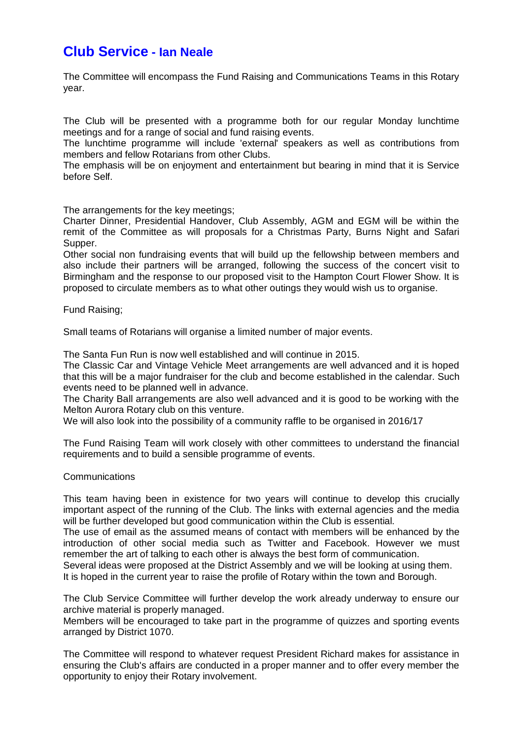# **Club Service - Ian Neale**

The Committee will encompass the Fund Raising and Communications Teams in this Rotary year.

The Club will be presented with a programme both for our regular Monday lunchtime meetings and for a range of social and fund raising events.

The lunchtime programme will include 'external' speakers as well as contributions from members and fellow Rotarians from other Clubs.

The emphasis will be on enjoyment and entertainment but bearing in mind that it is Service before Self.

The arrangements for the key meetings;

Charter Dinner, Presidential Handover, Club Assembly, AGM and EGM will be within the remit of the Committee as will proposals for a Christmas Party, Burns Night and Safari Supper.

Other social non fundraising events that will build up the fellowship between members and also include their partners will be arranged, following the success of the concert visit to Birmingham and the response to our proposed visit to the Hampton Court Flower Show. It is proposed to circulate members as to what other outings they would wish us to organise.

Fund Raising;

Small teams of Rotarians will organise a limited number of major events.

The Santa Fun Run is now well established and will continue in 2015.

The Classic Car and Vintage Vehicle Meet arrangements are well advanced and it is hoped that this will be a major fundraiser for the club and become established in the calendar. Such events need to be planned well in advance.

The Charity Ball arrangements are also well advanced and it is good to be working with the Melton Aurora Rotary club on this venture.

We will also look into the possibility of a community raffle to be organised in 2016/17

The Fund Raising Team will work closely with other committees to understand the financial requirements and to build a sensible programme of events.

#### **Communications**

This team having been in existence for two years will continue to develop this crucially important aspect of the running of the Club. The links with external agencies and the media will be further developed but good communication within the Club is essential.

The use of email as the assumed means of contact with members will be enhanced by the introduction of other social media such as Twitter and Facebook. However we must remember the art of talking to each other is always the best form of communication.

Several ideas were proposed at the District Assembly and we will be looking at using them. It is hoped in the current year to raise the profile of Rotary within the town and Borough.

The Club Service Committee will further develop the work already underway to ensure our archive material is properly managed.

Members will be encouraged to take part in the programme of quizzes and sporting events arranged by District 1070.

The Committee will respond to whatever request President Richard makes for assistance in ensuring the Club's affairs are conducted in a proper manner and to offer every member the opportunity to enjoy their Rotary involvement.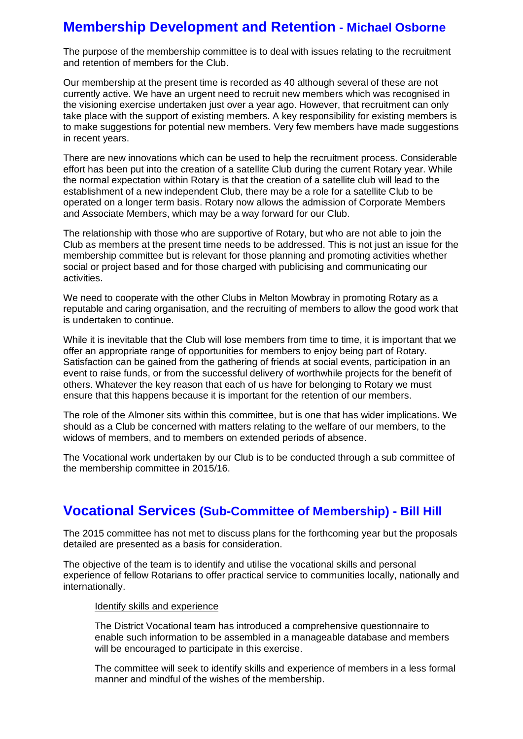# **Membership Development and Retention - Michael Osborne**

The purpose of the membership committee is to deal with issues relating to the recruitment and retention of members for the Club.

Our membership at the present time is recorded as 40 although several of these are not currently active. We have an urgent need to recruit new members which was recognised in the visioning exercise undertaken just over a year ago. However, that recruitment can only take place with the support of existing members. A key responsibility for existing members is to make suggestions for potential new members. Very few members have made suggestions in recent years.

There are new innovations which can be used to help the recruitment process. Considerable effort has been put into the creation of a satellite Club during the current Rotary year. While the normal expectation within Rotary is that the creation of a satellite club will lead to the establishment of a new independent Club, there may be a role for a satellite Club to be operated on a longer term basis. Rotary now allows the admission of Corporate Members and Associate Members, which may be a way forward for our Club.

The relationship with those who are supportive of Rotary, but who are not able to join the Club as members at the present time needs to be addressed. This is not just an issue for the membership committee but is relevant for those planning and promoting activities whether social or project based and for those charged with publicising and communicating our activities.

We need to cooperate with the other Clubs in Melton Mowbray in promoting Rotary as a reputable and caring organisation, and the recruiting of members to allow the good work that is undertaken to continue.

While it is inevitable that the Club will lose members from time to time, it is important that we offer an appropriate range of opportunities for members to enjoy being part of Rotary. Satisfaction can be gained from the gathering of friends at social events, participation in an event to raise funds, or from the successful delivery of worthwhile projects for the benefit of others. Whatever the key reason that each of us have for belonging to Rotary we must ensure that this happens because it is important for the retention of our members.

The role of the Almoner sits within this committee, but is one that has wider implications. We should as a Club be concerned with matters relating to the welfare of our members, to the widows of members, and to members on extended periods of absence.

The Vocational work undertaken by our Club is to be conducted through a sub committee of the membership committee in 2015/16.

# **Vocational Services (Sub-Committee of Membership) - Bill Hill**

The 2015 committee has not met to discuss plans for the forthcoming year but the proposals detailed are presented as a basis for consideration.

The objective of the team is to identify and utilise the vocational skills and personal experience of fellow Rotarians to offer practical service to communities locally, nationally and internationally.

#### Identify skills and experience

The District Vocational team has introduced a comprehensive questionnaire to enable such information to be assembled in a manageable database and members will be encouraged to participate in this exercise.

The committee will seek to identify skills and experience of members in a less formal manner and mindful of the wishes of the membership.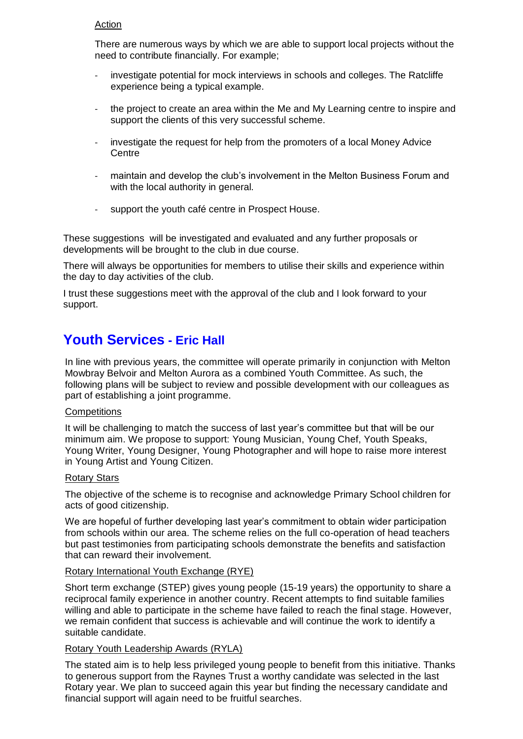### Action

There are numerous ways by which we are able to support local projects without the need to contribute financially. For example;

- investigate potential for mock interviews in schools and colleges. The Ratcliffe experience being a typical example.
- the project to create an area within the Me and My Learning centre to inspire and support the clients of this very successful scheme.
- investigate the request for help from the promoters of a local Money Advice Centre
- maintain and develop the club's involvement in the Melton Business Forum and with the local authority in general.
- support the youth café centre in Prospect House.

These suggestions will be investigated and evaluated and any further proposals or developments will be brought to the club in due course.

There will always be opportunities for members to utilise their skills and experience within the day to day activities of the club.

I trust these suggestions meet with the approval of the club and I look forward to your support.

# **Youth Services - Eric Hall**

In line with previous years, the committee will operate primarily in conjunction with Melton Mowbray Belvoir and Melton Aurora as a combined Youth Committee. As such, the following plans will be subject to review and possible development with our colleagues as part of establishing a joint programme.

#### **Competitions**

It will be challenging to match the success of last year's committee but that will be our minimum aim. We propose to support: Young Musician, Young Chef, Youth Speaks, Young Writer, Young Designer, Young Photographer and will hope to raise more interest in Young Artist and Young Citizen.

#### Rotary Stars

The objective of the scheme is to recognise and acknowledge Primary School children for acts of good citizenship.

We are hopeful of further developing last year's commitment to obtain wider participation from schools within our area. The scheme relies on the full co-operation of head teachers but past testimonies from participating schools demonstrate the benefits and satisfaction that can reward their involvement.

#### Rotary International Youth Exchange (RYE)

Short term exchange (STEP) gives young people (15-19 years) the opportunity to share a reciprocal family experience in another country. Recent attempts to find suitable families willing and able to participate in the scheme have failed to reach the final stage. However, we remain confident that success is achievable and will continue the work to identify a suitable candidate.

# Rotary Youth Leadership Awards (RYLA)

The stated aim is to help less privileged young people to benefit from this initiative. Thanks to generous support from the Raynes Trust a worthy candidate was selected in the last Rotary year. We plan to succeed again this year but finding the necessary candidate and financial support will again need to be fruitful searches.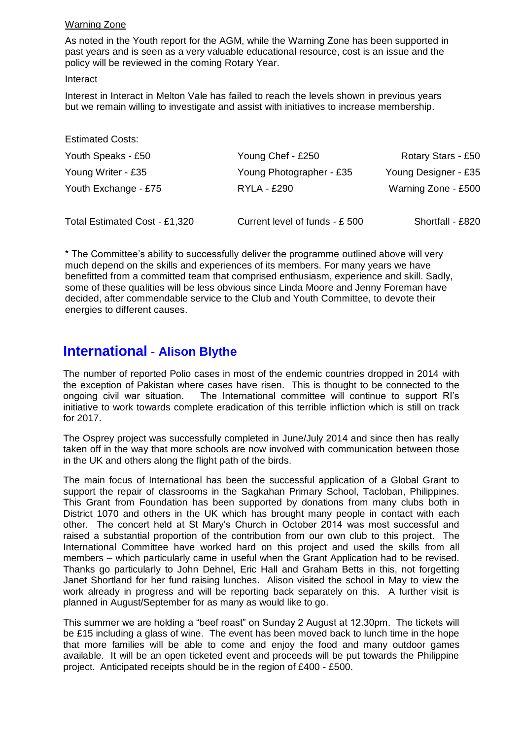# Warning Zone

As noted in the Youth report for the AGM, while the Warning Zone has been supported in past years and is seen as a very valuable educational resource, cost is an issue and the policy will be reviewed in the coming Rotary Year.

#### Interact

Interest in Interact in Melton Vale has failed to reach the levels shown in previous years but we remain willing to investigate and assist with initiatives to increase membership.

| <b>Estimated Costs:</b>       |                                |                      |
|-------------------------------|--------------------------------|----------------------|
| Youth Speaks - £50            | Young Chef - £250              | Rotary Stars - £50   |
| Young Writer - £35            | Young Photographer - £35       | Young Designer - £35 |
| Youth Exchange - £75          | <b>RYLA - £290</b>             | Warning Zone - £500  |
| Total Estimated Cost - £1,320 | Current level of funds - £ 500 | Shortfall - £820     |

\* The Committee's ability to successfully deliver the programme outlined above will very much depend on the skills and experiences of its members. For many years we have benefitted from a committed team that comprised enthusiasm, experience and skill. Sadly, some of these qualities will be less obvious since Linda Moore and Jenny Foreman have decided, after commendable service to the Club and Youth Committee, to devote their energies to different causes.

# **International - Alison Blythe**

The number of reported Polio cases in most of the endemic countries dropped in 2014 with the exception of Pakistan where cases have risen. This is thought to be connected to the ongoing civil war situation. The International committee will continue to support RI's initiative to work towards complete eradication of this terrible infliction which is still on track for 2017.

The Osprey project was successfully completed in June/July 2014 and since then has really taken off in the way that more schools are now involved with communication between those in the UK and others along the flight path of the birds.

The main focus of International has been the successful application of a Global Grant to support the repair of classrooms in the Sagkahan Primary School, Tacloban, Philippines. This Grant from Foundation has been supported by donations from many clubs both in District 1070 and others in the UK which has brought many people in contact with each other. The concert held at St Mary's Church in October 2014 was most successful and raised a substantial proportion of the contribution from our own club to this project. The International Committee have worked hard on this project and used the skills from all members – which particularly came in useful when the Grant Application had to be revised. Thanks go particularly to John Dehnel, Eric Hall and Graham Betts in this, not forgetting Janet Shortland for her fund raising lunches. Alison visited the school in May to view the work already in progress and will be reporting back separately on this. A further visit is planned in August/September for as many as would like to go.

This summer we are holding a "beef roast" on Sunday 2 August at 12.30pm. The tickets will be £15 including a glass of wine. The event has been moved back to lunch time in the hope that more families will be able to come and enjoy the food and many outdoor games available. It will be an open ticketed event and proceeds will be put towards the Philippine project. Anticipated receipts should be in the region of £400 - £500.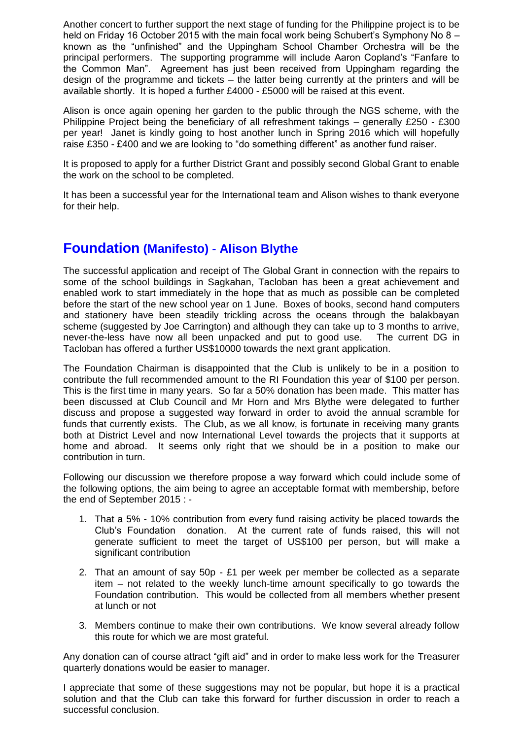Another concert to further support the next stage of funding for the Philippine project is to be held on Friday 16 October 2015 with the main focal work being Schubert's Symphony No 8 – known as the "unfinished" and the Uppingham School Chamber Orchestra will be the principal performers. The supporting programme will include Aaron Copland's "Fanfare to the Common Man". Agreement has just been received from Uppingham regarding the design of the programme and tickets – the latter being currently at the printers and will be available shortly. It is hoped a further £4000 - £5000 will be raised at this event.

Alison is once again opening her garden to the public through the NGS scheme, with the Philippine Project being the beneficiary of all refreshment takings – generally £250 - £300 per year! Janet is kindly going to host another lunch in Spring 2016 which will hopefully raise £350 - £400 and we are looking to "do something different" as another fund raiser.

It is proposed to apply for a further District Grant and possibly second Global Grant to enable the work on the school to be completed.

It has been a successful year for the International team and Alison wishes to thank everyone for their help.

# **Foundation (Manifesto) - Alison Blythe**

The successful application and receipt of The Global Grant in connection with the repairs to some of the school buildings in Sagkahan, Tacloban has been a great achievement and enabled work to start immediately in the hope that as much as possible can be completed before the start of the new school year on 1 June. Boxes of books, second hand computers and stationery have been steadily trickling across the oceans through the balakbayan scheme (suggested by Joe Carrington) and although they can take up to 3 months to arrive, never-the-less have now all been unpacked and put to good use. The current DG in Tacloban has offered a further US\$10000 towards the next grant application.

The Foundation Chairman is disappointed that the Club is unlikely to be in a position to contribute the full recommended amount to the RI Foundation this year of \$100 per person. This is the first time in many years. So far a 50% donation has been made. This matter has been discussed at Club Council and Mr Horn and Mrs Blythe were delegated to further discuss and propose a suggested way forward in order to avoid the annual scramble for funds that currently exists. The Club, as we all know, is fortunate in receiving many grants both at District Level and now International Level towards the projects that it supports at home and abroad. It seems only right that we should be in a position to make our contribution in turn.

Following our discussion we therefore propose a way forward which could include some of the following options, the aim being to agree an acceptable format with membership, before the end of September 2015 : -

- 1. That a 5% 10% contribution from every fund raising activity be placed towards the Club's Foundation donation. At the current rate of funds raised, this will not generate sufficient to meet the target of US\$100 per person, but will make a significant contribution
- 2. That an amount of say 50p £1 per week per member be collected as a separate item – not related to the weekly lunch-time amount specifically to go towards the Foundation contribution. This would be collected from all members whether present at lunch or not
- 3. Members continue to make their own contributions. We know several already follow this route for which we are most grateful.

Any donation can of course attract "gift aid" and in order to make less work for the Treasurer quarterly donations would be easier to manager.

I appreciate that some of these suggestions may not be popular, but hope it is a practical solution and that the Club can take this forward for further discussion in order to reach a successful conclusion.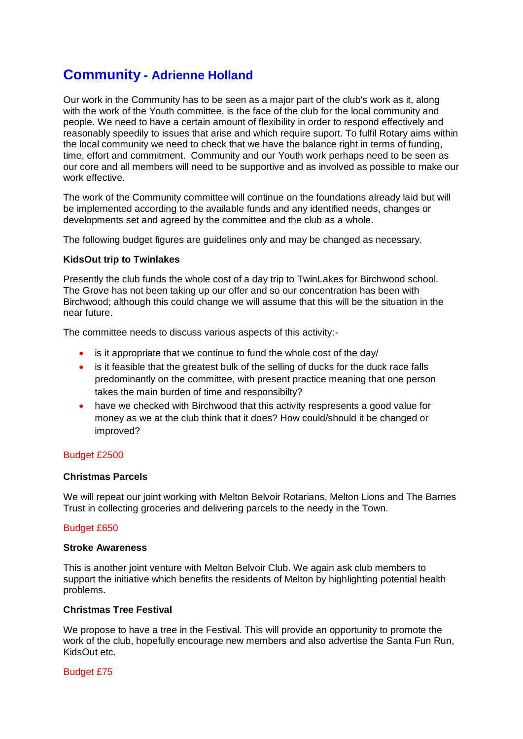# **Community - Adrienne Holland**

Our work in the Community has to be seen as a major part of the club's work as it, along with the work of the Youth committee, is the face of the club for the local community and people. We need to have a certain amount of flexibility in order to respond effectively and reasonably speedily to issues that arise and which require suport. To fulfil Rotary aims within the local community we need to check that we have the balance right in terms of funding, time, effort and commitment. Community and our Youth work perhaps need to be seen as our core and all members will need to be supportive and as involved as possible to make our work effective.

The work of the Community committee will continue on the foundations already laid but will be implemented according to the available funds and any identified needs, changes or developments set and agreed by the committee and the club as a whole.

The following budget figures are guidelines only and may be changed as necessary.

# **KidsOut trip to Twinlakes**

Presently the club funds the whole cost of a day trip to TwinLakes for Birchwood school. The Grove has not been taking up our offer and so our concentration has been with Birchwood; although this could change we will assume that this will be the situation in the near future.

The committee needs to discuss various aspects of this activity:-

- is it appropriate that we continue to fund the whole cost of the day/
- is it feasible that the greatest bulk of the selling of ducks for the duck race falls predominantly on the committee, with present practice meaning that one person takes the main burden of time and responsibilty?
- have we checked with Birchwood that this activity respresents a good value for money as we at the club think that it does? How could/should it be changed or improved?

# Budget £2500

### **Christmas Parcels**

We will repeat our joint working with Melton Belvoir Rotarians, Melton Lions and The Barnes Trust in collecting groceries and delivering parcels to the needy in the Town.

#### Budget £650

#### **Stroke Awareness**

This is another joint venture with Melton Belvoir Club. We again ask club members to support the initiative which benefits the residents of Melton by highlighting potential health problems.

#### **Christmas Tree Festival**

We propose to have a tree in the Festival. This will provide an opportunity to promote the work of the club, hopefully encourage new members and also advertise the Santa Fun Run, KidsOut etc.

Budget £75